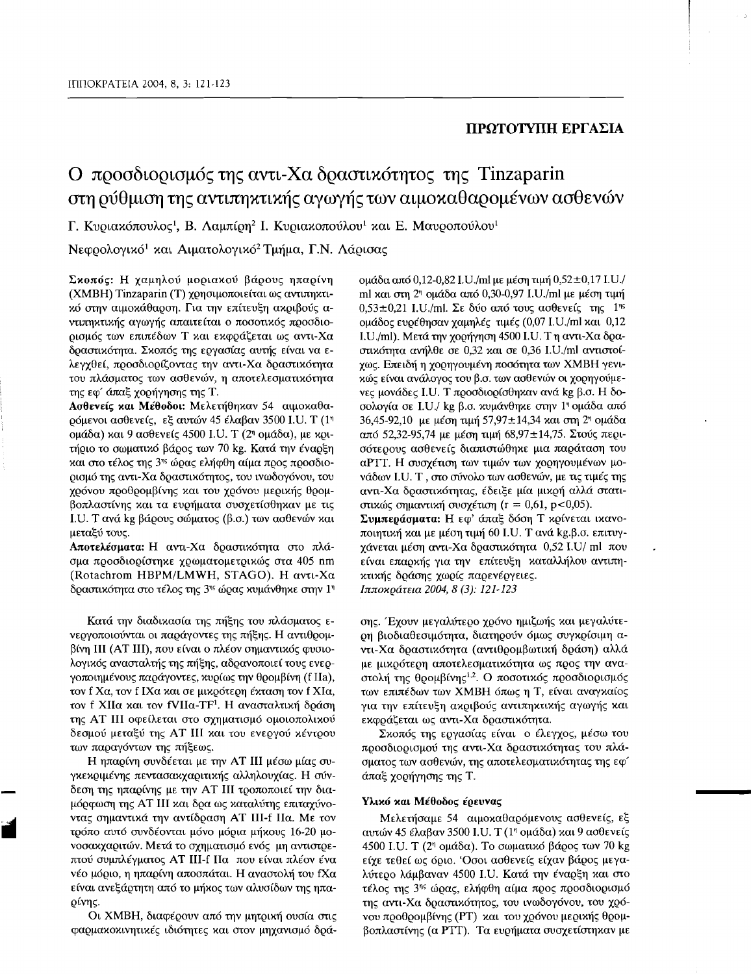## ΠΡΩΤΟΤΥΠΗ ΕΡΓΑΣΙΑ

# Ο προσδιορισμός της αντι-Χα δραστικότητος της Tinzaparin στη ούθμιση της αντιπηκτικής αγωγής των αιμοκαθαρομένων ασθενών

Γ. Κυριακόπουλος<sup>1</sup>, Β. Λαμπίρη<sup>2</sup> Ι. Κυριακοπούλου<sup>1</sup> και Ε. Μαυροπούλου<sup>1</sup>

Νεφρολογικό<sup>1</sup> και Αιματολογικό<sup>2</sup> Τμήμα, Γ.Ν. Λάρισας

Σκοπός: Η χαμηλού μοριακού βάρους ηπαρίνη (XMBH) Tinzaparin (T) χρησιμοποιείται ως αντιπηκτικό στην αιμοκάθαρση. Για την επίτευξη ακριβούς αντιπηκτικής αγωγής απαιτείται ο ποσοτικός προσδιορισμός των επιπέδων Τ και εκφράζεται ως αντι-Χα δραστικότητα. Σκοπός της εργασίας αυτής είναι να ελεγχθεί, προσδιορίζοντας την αντι-Χα δραστικότητα του πλάσματος των ασθενών, η αποτελεσματικότητα της εφ' άπαξ χορήγησης της Τ.

Ασθενείς και Μέθοδοι: Μελετήθηκαν 54 αιμοκαθαρόμενοι ασθενείς, εξ αυτών 45 έλαβαν 3500 I.U. T (1<sup>η</sup> ομάδα) και 9 ασθενείς 4500 Ι.U. T (2η ομάδα), με κριτήριο το σωματικό βάρος των 70 kg. Κατά την έναρξη και στο τέλος της 3ης ώρας ελήφθη αίμα προς προσδιορισμό της αντι-Χα δραστικότητος, του ινωδογόνου, του χρόνου προθρομβίνης και του χρόνου μερικής θρομβοπλαστίνης και τα ευρήματα συσχετίσθηκαν με τις Ι. Η. Τανά kg βάρους σώματος (β.σ.) των ασθενών και μεταξύ τους.

Αποτελέσματα: Η αντι-Χα δραστικότητα στο πλάσμα προσδιορίστηκε γρωματομετρικώς στα 405 nm (Rotachrom HBPM/LMWH, STAGO). Η αντι-Χα δραστικότητα στο τέλος της 3<sup>ης</sup> ώρας κυμάνθηκε στην 1<sup>η</sup>

Κατά την διαδικασία της πήξης του πλάσματος ενεργοποιούνται οι παράγοντες της πήξης. Η αντιθρομβίνη ΙΙΙ (AT III), που είναι ο πλέον σημαντικός φυσιολογικός ανασταλτής της πήξης, αδρανοποιεί τους ενεργοποιημένους παράγοντες, κυρίως την θρομβίνη (f IIa), τον f Χα, τον f ΙΧα και σε μικρότερη έκταση τον f ΧΙα, τον f XIIα και τον fVIIα-TF<sup>1</sup>. Η ανασταλτική δράση της AT III οφείλεται στο σχηματισμό ομοιοπολικού δεσμού μεταξύ της AT III και του ενεργού κέντρου των παραγόντων της πήξεως.

Η ηπαρίνη συνδέεται με την ΑΤ ΙΙΙ μέσω μίας συγκεκριμένης πεντασακχαριτικής αλληλουχίας. Η σύνδεση της ηπαρίνης με την AT III τροποποιεί την διαμόρφωση της AT III και δρα ως καταλύτης επιταχύνοντας σημαντικά την αντίδραση AT III-f IIa. Με τον τρόπο αυτό συνδέονται μόνο μόρια μήχους 16-20 μονοσακχαριτών. Μετά το σχηματισμό ενός μη αντιστρεπτού συμπλέγματος AT III-f Πα που είναι πλέον ένα νέο μόριο, η ηπαρίνη αποσπάται. Η αναστολή του fΧα είναι ανεξάρτητη από το μήχος των αλυσίδων της ηπαρίνης.

Οι ΧΜΒΗ, διαφέρουν από την μητρική ουσία στις φαρμακοκινητικές ιδιότητες και στον μηχανισμό δράομάδα από 0.12-0.82 I.U./ml με μέση τιμή 0.52±0.17 I.U./ ml και στη 2η ομάδα από 0,30-0,97 I.U./ml με μέση τιμή  $0.53\pm0.21$  I.U./ml. Σε δύο από τους ασθενείς της 1<sup>ης</sup> ομάδος ενοέθησαν γαμηλές τιμές (0,07 I.U./ml και 0,12 I.U./ml). Μετά την χορήγηση 4500 I.U. Τη αντι-Χα δραστικότητα ανήλθε σε 0,32 και σε 0,36 I.U./ml αντιστοίχως. Επειδή η χορηγουμένη ποσότητα των ΧΜΒΗ γενικώς είναι ανάλογος του β.σ. των ασθενών οι χορηγούμενες μονάδες I.U. Τ προσδιορίσθηκαν ανά kg β.σ. Η δοσολογία σε I.U./ kg β.σ. κυμάνθηκε στην 1η ομάδα από 36,45-92,10 με μέση τιμή 57,97±14,34 και στη 2η ομάδα από 52,32-95,74 με μέση τιμή 68,97±14,75. Στούς περισότερους ασθενείς διαπιστώθηκε μια παράταση του αΡΤΤ. Η συσγέτιση των τιμών των γορηγουμένων μονάδων I.U. T, στο σύνολο των ασθενών, με τις τιμές της αντι-Χα δραστικότητας, έδειξε μία μικρή αλλά στατιστικώς σημαντική συσχέτιση (r = 0,61, p<0,05).

Συμπεράσματα: Η εφ' άπαξ δόση Τ κρίνεται ικανοποιητική και με μέση τιμή 60 I.U. Τ ανά kg.β.σ. επιτυγχάνεται μέση αντι-Χα δραστικότητα 0,52 I.U/ ml που είναι επαρχής για την επίτευξη χαταλλήλου αντιπηκτικής δράσης χωρίς παρενέργειες. Ιπποκράτεια 2004, 8 (3): 121-123

σης. Έχουν μεγαλύτερο χρόνο ημιζωής και μεγαλύτερη βιοδιαθεσιμότητα, διατηρούν όμως συγκρίσιμη αντι-Χα δραστικότητα (αντιθρομβωτική δράση) αλλά με μικρότερη αποτελεσματικότητα ως προς την αναστολή της θρομβίνης<sup>1,2</sup>. Ο ποσοτικός προσδιορισμός των επιπέδων των ΧΜΒΗ όπως η Τ, είναι αναγκαίος για την επίτευξη ακριβούς αντιπηκτικής αγωγής και εκφράζεται ως αντι-Χα δραστικότητα.

Σκοπός της εργασίας είναι ο έλεγχος, μέσω του προσδιορισμού της αντι-Χα δραστικότητας του πλάσματος των ασθενών, της αποτελεσματικότητας της εφ' άπαξ χορήγησης της Τ.

#### Υλικό και Μέθοδος έρευνας

Μελετήσαμε 54 αιμοκαθαρόμενους ασθενείς, εξ αυτών 45 έλαβαν 3500 I.U. T (1<sup>η</sup> ομάδα) και 9 ασθενείς 4500 I.U. T (2<sup>η</sup> ομάδα). Το σωματικό βάρος των 70 kg είχε τεθεί ως όριο. Όσοι ασθενείς είχαν βάρος μεγαλύτερο λάμβαναν 4500 I.U. Κατά την έναρξη και στο τέλος της 3<sup>ης</sup> ώρας, ελήφθη αίμα προς προσδιορισμό της αντι-Χα δραστικότητος, του ινωδογόνου, του χρόνου προθρομβίνης (PT) και του χρόνου μερικής θρομβοπλαστίνης (α PTT). Τα ευρήματα συσχετίστηκαν με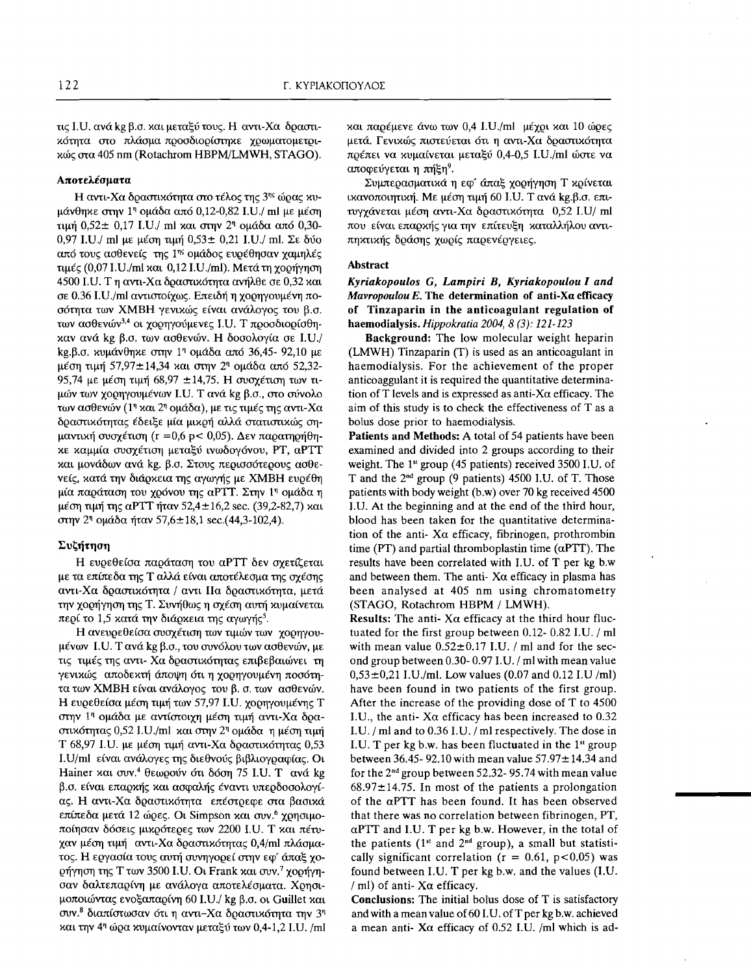τις Ι.Ο. ανά kg β.σ. και μεταξύ τους. Η αντι-Χα δραστικότητα στο πλάσμα προσδιορίστηκε χρωματομετρικώς στα 405 nm (Rotachrom HBPM/LMWH, STAGO).

#### Αποτελέσματα

Η αντι-Χα δραστικότητα στο τέλος της 3<sup>ης</sup> ώρας κυμάνθηκε στην 1η ομάδα από 0,12-0,82 I.U./ ml με μέση τιμή 0,52 ± 0,17 I.U./ ml και στην 2<sup>η</sup> ομάδα από 0,30-0,97 I.U./ ml με μέση τιμή 0,53 ± 0,21 I.U./ ml. Σε δύο από τους ασθενείς της 1<sup>ης</sup> ομάδος ευρέθησαν χαμηλές τιμές (0,07 I.U./ml και 0,12 I.U./ml). Μετά τη χορήγηση 4500 I.U. Τη αντι-Χα δραστικότητα ανήλθε σε 0,32 και σε 0.36 I.U./ml αντιστοίχως. Επειδή η χορηγουμένη ποσότητα των ΧΜΒΗ γενικώς είναι ανάλογος του β.σ. των ασθενών<sup>3,4</sup> οι χορηγούμενες Ι.U. Τ προσδιορίσθηκαν ανά kg β.σ. των ασθενών. Η δοσολογία σε I.U./ kg.β.σ. κυμάνθηκε στην 1<sup>η</sup> ομάδα από 36,45- 92,10 με μέση τιμή 57,97±14,34 και στην 2η ομάδα από 52,32-95,74 με μέση τιμή 68,97 ±14,75. Η συσχέτιση των τιμών των χορηγουμένων I.U. Τ ανά kg β.σ., στο σύνολο των ασθενών (1η και 2η ομάδα), με τις τιμές της αντι-Χα δραστικότητας έδειξε μία μικρή αλλά στατιστικώς σημαντική συσχέτιση (r = 0,6 p < 0,05). Δεν παρατηρήθηκε καμμία συσχέτιση μεταξύ ινωδογόνου, PT, αPTT και μονάδων ανά kg. β.σ. Στους περισσότερους ασθενείς, κατά την διάρκεια της αγωγής με ΧΜΒΗ ευρέθη μία παράταση του χρόνου της αΡΤΤ. Στην 1η ομάδα η μέση τιμή της αΡΤΤ ήταν 52,4 ± 16,2 sec. (39,2-82,7) και στην 2<sup>η</sup> ομάδα ήταν 57,6±18,1 sec.(44,3-102,4).

#### Συζήτηση

Η ευρεθείσα παράταση του αΡΤΤ δεν σχετίζεται με τα επίπεδα της Τ αλλά είναι αποτέλεσμα της σχέσης αντι-Χα δραστικότητα / αντι Πα δραστικότητα, μετά την χορήγηση της Τ. Συνήθως η σχέση αυτή κυμαίνεται περί το 1,5 κατά την διάρκεια της αγωγής<sup>5</sup>.

Η ανευρεθείσα συσχέτιση των τιμών των χορηγουμένων I.U. Τανά kg β.σ., του συνόλου των ασθενών, με τις τιμές της αντι- Χα δραστικότητας επιβεβαιώνει τη γενικώς αποδεκτή άποψη ότι η χορηγουμένη ποσότητα των ΧΜΒΗ είναι ανάλογος του β. σ. των ασθενών. Η ευρεθείσα μέση τιμή των 57,97 I.U. χορηγουμένης Τ στην 1η ομάδα με αντίστοιχη μέση τιμή αντι-Χα δραστικότητας 0,52 I.U./ml και στην 2<sup>η</sup> ομάδα η μέση τιμή Τ 68,97 Ι. . με μέση τιμή αντι-Χα δραστικότητας 0,53 I.U/ml είναι ανάλογες της διεθνούς βιβλιογραφίας. Οι Hainer και συν.<sup>4</sup> θεωρούν ότι δόση 75 I.U. Τ ανά kg β.σ. είναι επαρχής και ασφαλής έναντι υπερδοσολογίας. Η αντι-Χα δραστικότητα επέστρεφε στα βασικά επίπεδα μετά 12 ώρες. Οι Simpson και συν.<sup>6</sup> χρησιμοποίησαν δόσεις μικρότερες των 2200 I.U. T και πέτυχαν μέση τιμή αντι-Χα δραστικότητας 0,4/ml πλάσματος. Η εργασία τους αυτή συνηγορεί στην εφ' άπαξ χορήγηση της Τ των 3500 I.U. Οι Frank και συν.<sup>7</sup> χορήγησαν δαλτεπαρίνη με ανάλογα αποτελέσματα. Χρησιμοποιώντας ενοξαπαρίνη 60 I.U./ kg β.σ. οι Guillet και συν.<sup>8</sup> διαπίστωσαν ότι η αντι-Χα δραστικότητα την 3<sup>η</sup> και την 4η ώρα κυμαίνονταν μεταξύ των 0,4-1,2 I.U. /ml και παρέμενε άνω των 0,4 I.U./ml μέχρι και 10 ώρες μετά. Γενικώς πιστεύεται ότι η αντι-Χα δραστικότητα πρέπει να κυμαίνεται μεταξύ 0,4-0,5 I.U./ml ώστε να αποφεύγεται η πήξη<sup>9</sup>.

Συμπερασματικά η εφ' άπαξ χορήγηση Τ κρίνεται ικανοποιητική. Με μέση τιμή 60 I.U. Τ ανά kg.β.σ. επιτυγχάνεται μέση αντι-Χα δραστικότητα 0,52 I.U/ ml που είναι επαρκής για την επίτευξη καταλλήλου αντιπηκτικής δράσης χωρίς παρενέργειες.

#### **Abstract**

### Kyriakopoulos G, Lampiri B, Kyriakopoulou I and Mavropoulou E. The determination of anti-Xa efficacy of Tinzaparin in the anticoagulant regulation of haemodialysis. Hippokratia 2004, 8 (3): 121-123

Background: The low molecular weight heparin (LMWH) Tinzaparin (T) is used as an anticoagulant in haemodialysis. For the achievement of the proper anticoaggulant it is required the quantitative determination of T levels and is expressed as anti-X $\alpha$  efficacy. The aim of this study is to check the effectiveness of T as a bolus dose prior to haemodialysis.

Patients and Methods: A total of 54 patients have been examined and divided into 2 groups according to their weight. The 1<sup>st</sup> group (45 patients) received 3500 I.U. of T and the  $2^{nd}$  group (9 patients) 4500 I.U. of T. Those patients with body weight (b.w) over 70 kg received 4500 I.U. At the beginning and at the end of the third hour, blood has been taken for the quantitative determination of the anti-  $X\alpha$  efficacy, fibrinogen, prothrombin time (PT) and partial thromboplastin time ( $\alpha$ PTT). The results have been correlated with I.U. of T per kg b.w and between them. The anti- $X\alpha$  efficacy in plasma has been analysed at 405 nm using chromatometry (STAGO, Rotachrom HBPM / LMWH).

Results: The anti- $X\alpha$  efficacy at the third hour fluctuated for the first group between 0.12- 0.82 I.U. / ml with mean value  $0.52 \pm 0.17$  I.U. / ml and for the second group between 0.30-0.97 I.U. / ml with mean value  $0,53\pm0,21$  I.U./ml. Low values (0.07 and 0.12 I.U /ml) have been found in two patients of the first group. After the increase of the providing dose of T to 4500 I.U., the anti-X $\alpha$  efficacy has been increased to 0.32 I.U. / ml and to 0.36 I.U. / ml respectively. The dose in I.U. T per  $kg$  b.w. has been fluctuated in the  $1<sup>st</sup>$  group between 36.45-92.10 with mean value  $57.97 \pm 14.34$  and for the  $2^{nd}$  group between 52.32-95.74 with mean value  $68.97 \pm 14.75$ . In most of the patients a prolongation of the  $\alpha$ PTT has been found. It has been observed that there was no correlation between fibrinogen, PT,  $\alpha$ PTT and I.U. T per kg b.w. However, in the total of the patients (1st and 2<sup>nd</sup> group), a small but statistically significant correlation ( $r = 0.61$ ,  $p < 0.05$ ) was found between I.U. T per kg b.w. and the values (I.U. / ml) of anti- $X\alpha$  efficacy.

**Conclusions:** The initial bolus dose of T is satisfactory and with a mean value of 60 I.U. of T per kg b.w. achieved a mean anti-  $X\alpha$  efficacy of 0.52 I.U. /ml which is ad-